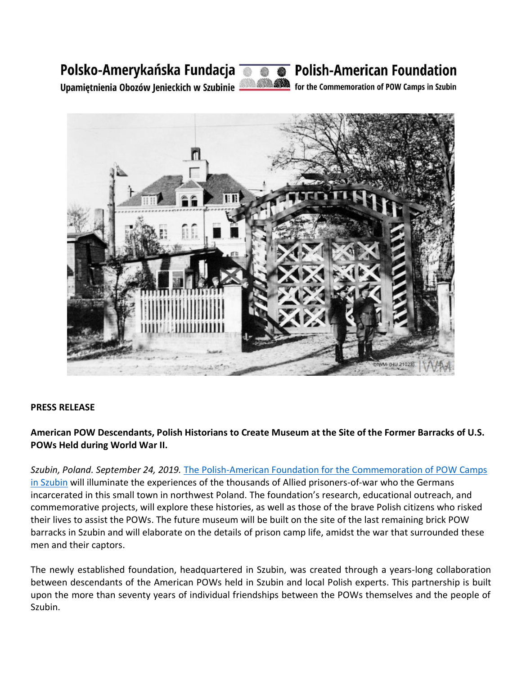## Polsko-Amerykańska Fundacja @ @ @ Polish-American Foundation



Upamiętnienia Obozów Jenieckich w Szubinie 1998 MA for the Commemoration of POW Camps in Szubin



## **PRESS RELEASE**

**American POW Descendants, Polish Historians to Create Museum at the Site of the Former Barracks of U.S. POWs Held during World War II.**

*Szubin, Poland. September 24, 2019.* [The Polish-American Foundation for the Commemoration of POW Camps](http://www.szubinpowcamps.org/en/)  [in Szubin](http://www.szubinpowcamps.org/en/) will illuminate the experiences of the thousands of Allied prisoners-of-war who the Germans incarcerated in this small town in northwest Poland. The foundation's research, educational outreach, and commemorative projects, will explore these histories, as well as those of the brave Polish citizens who risked their lives to assist the POWs. The future museum will be built on the site of the last remaining brick POW barracks in Szubin and will elaborate on the details of prison camp life, amidst the war that surrounded these men and their captors.

The newly established foundation, headquartered in Szubin, was created through a years-long collaboration between descendants of the American POWs held in Szubin and local Polish experts. This partnership is built upon the more than seventy years of individual friendships between the POWs themselves and the people of Szubin.